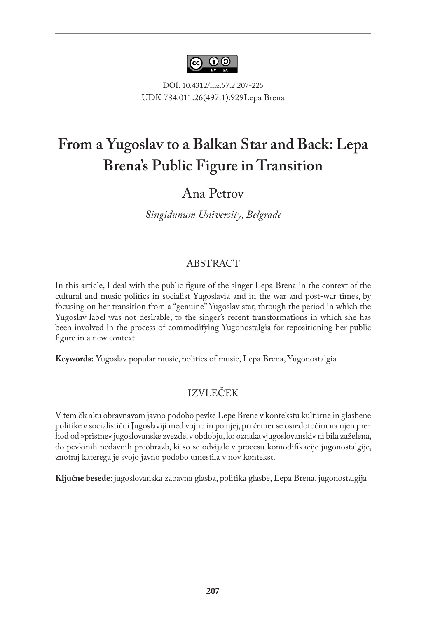

DOI: 10.4312/mz.57.2.207-225 UDK 784.011.26(497.1):929Lepa Brena

# **From a Yugoslav to a Balkan Star and Back: Lepa Brena's Public Figure in Transition**

## Ana Petrov

*Singidunum University, Belgrade*

#### ABSTRACT

In this article, I deal with the public figure of the singer Lepa Brena in the context of the cultural and music politics in socialist Yugoslavia and in the war and post-war times, by focusing on her transition from a "genuine" Yugoslav star, through the period in which the Yugoslav label was not desirable, to the singer's recent transformations in which she has been involved in the process of commodifying Yugonostalgia for repositioning her public figure in a new context.

**Keywords:** Yugoslav popular music, politics of music, Lepa Brena, Yugonostalgia

### IZVLEČEK

V tem članku obravnavam javno podobo pevke Lepe Brene v kontekstu kulturne in glasbene politike v socialistični Jugoslaviji med vojno in po njej, pri čemer se osredotočim na njen prehod od »pristne« jugoslovanske zvezde, v obdobju, ko oznaka »jugoslovanski« ni bila zaželena, do pevkinih nedavnih preobrazb, ki so se odvijale v procesu komodifikacije jugonostalgije, znotraj katerega je svojo javno podobo umestila v nov kontekst.

**Ključne besede:** jugoslovanska zabavna glasba, politika glasbe, Lepa Brena, jugonostalgija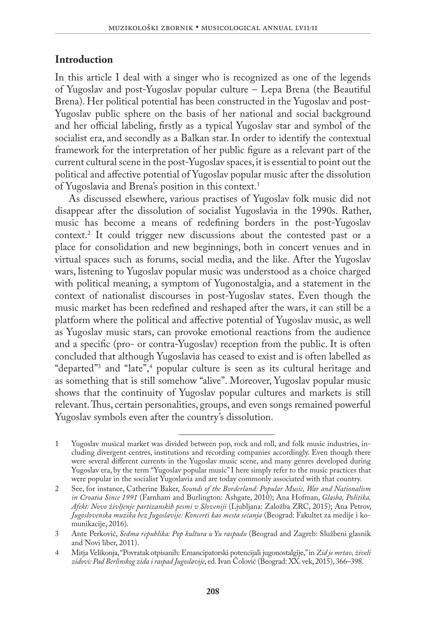### **Introduction**

In this article I deal with a singer who is recognized as one of the legends of Yugoslav and post-Yugoslav popular culture – Lepa Brena (the Beautiful Brena). Her political potential has been constructed in the Yugoslav and post-Yugoslav public sphere on the basis of her national and social background and her official labeling, firstly as a typical Yugoslav star and symbol of the socialist era, and secondly as a Balkan star. In order to identify the contextual framework for the interpretation of her public figure as a relevant part of the current cultural scene in the post-Yugoslav spaces, it is essential to point out the political and affective potential of Yugoslav popular music after the dissolution of Yugoslavia and Brena's position in this context.1

As discussed elsewhere, various practises of Yugoslav folk music did not disappear after the dissolution of socialist Yugoslavia in the 1990s. Rather, music has become a means of redefining borders in the post-Yugoslav context.2 It could trigger new discussions about the contested past or a place for consolidation and new beginnings, both in concert venues and in virtual spaces such as forums, social media, and the like. After the Yugoslav wars, listening to Yugoslav popular music was understood as a choice charged with political meaning, a symptom of Yugonostalgia, and a statement in the context of nationalist discourses in post-Yugoslav states. Even though the music market has been redefined and reshaped after the wars, it can still be a platform where the political and affective potential of Yugoslav music, as well as Yugoslav music stars, can provoke emotional reactions from the audience and a specific (pro- or contra-Yugoslav) reception from the public. It is often concluded that although Yugoslavia has ceased to exist and is often labelled as "departed"3 and "late",4 popular culture is seen as its cultural heritage and as something that is still somehow "alive". Moreover, Yugoslav popular music shows that the continuity of Yugoslav popular cultures and markets is still relevant. Thus, certain personalities, groups, and even songs remained powerful Yugoslav symbols even after the country's dissolution.

<sup>1</sup> Yugoslav musical market was divided between pop, rock and roll, and folk music industries, including divergent centres, institutions and recording companies accordingly. Even though there were several different currents in the Yugoslav music scene, and many genres developed during Yugoslav era, by the term "Yugoslav popular music" I here simply refer to the music practices that were popular in the socialist Yugoslavia and are today commonly associated with that country.

<sup>2</sup> See, for instance, Catherine Baker, *Sounds of the Borderland: Popular Music, War and Nationalism in Croatia Since 1991* (Farnham and Burlington: Ashgate, 2010); Ana Hofman, *Glasba, Politika, Afekt: Novo življenje partizanskih pesmi v Sloveniji* (Ljubljana: Založba ZRC, 2015); Ana Petrov, *Jugoslovenska muzika bez Jugoslavije: Koncerti kao mesta sećanja* (Beograd: Fakultet za medije i komunikacije, 2016).

<sup>3</sup> Ante Perković, *Sedma republika: Pop kultura u Yu raspadu* (Beograd and Zagreb: Službeni glasnik and Novi liber, 2011).

<sup>4</sup> Mitja Velikonja, "Povratak otpisanih: Emancipatorski potencijali jugonostalgije," in *Zid je mrtav, živeli zidovi: Pad Berlinskog zida i raspad Jugoslavije*, ed. Ivan Čolović (Beograd: XX. vek, 2015), 366–398.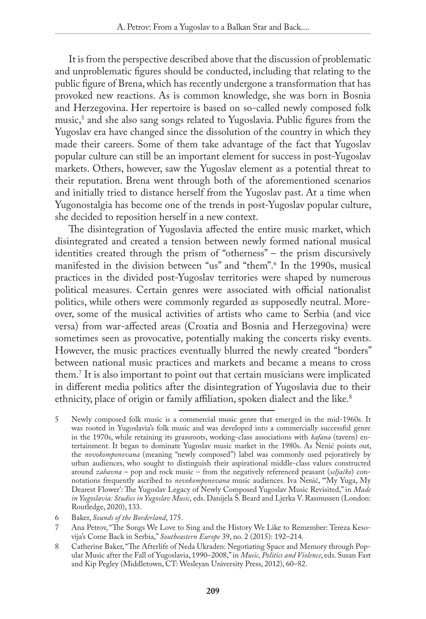It is from the perspective described above that the discussion of problematic and unproblematic figures should be conducted, including that relating to the public figure of Brena, which has recently undergone a transformation that has provoked new reactions. As is common knowledge, she was born in Bosnia and Herzegovina. Her repertoire is based on so-called newly composed folk music,5 and she also sang songs related to Yugoslavia. Public figures from the Yugoslav era have changed since the dissolution of the country in which they made their careers. Some of them take advantage of the fact that Yugoslav popular culture can still be an important element for success in post-Yugoslav markets. Others, however, saw the Yugoslav element as a potential threat to their reputation. Brena went through both of the aforementioned scenarios and initially tried to distance herself from the Yugoslav past. At a time when Yugonostalgia has become one of the trends in post-Yugoslav popular culture, she decided to reposition herself in a new context.

The disintegration of Yugoslavia affected the entire music market, which disintegrated and created a tension between newly formed national musical identities created through the prism of "otherness" – the prism discursively manifested in the division between "us" and "them".6 In the 1990s, musical practices in the divided post-Yugoslav territories were shaped by numerous political measures. Certain genres were associated with official nationalist politics, while others were commonly regarded as supposedly neutral. Moreover, some of the musical activities of artists who came to Serbia (and vice versa) from war-affected areas (Croatia and Bosnia and Herzegovina) were sometimes seen as provocative, potentially making the concerts risky events. However, the music practices eventually blurred the newly created "borders" between national music practices and markets and became a means to cross them.7 It is also important to point out that certain musicians were implicated in different media politics after the disintegration of Yugoslavia due to their ethnicity, place of origin or family affiliation, spoken dialect and the like.<sup>8</sup>

8 Catherine Baker, "The Afterlife of Neda Ukraden: Negotiating Space and Memory through Popular Music after the Fall of Yugoslavia, 1990–2008," in *Music, Politics and Violence*, eds. Susan Fast and Kip Pegley (Middletown, CT: Wesleyan University Press, 2012), 60–82.

<sup>5</sup> Newly composed folk music is a commercial music genre that emerged in the mid-1960s. It was rooted in Yugoslavia's folk music and was developed into a commercially successful genre in the 1970s, while retaining its grassroots, working-class associations with *kafana* (tavern) entertainment. It began to dominate Yugoslav music market in the 1980s. As Nenić points out, the *novokomponovana* (meaning "newly composed") label was commonly used pejoratively by urban audiences, who sought to distinguish their aspirational middle-class values constructed around *zabavna* – pop and rock music – from the negatively referenced peasant (*seljačko*) connotations frequently ascribed to *novokomponovana* music audiences. Iva Nenić, "'My Yuga, My Dearest Flower': The Yugoslav Legacy of Newly Composed Yugoslav Music Revisited," in *Made in Yugoslavia: Studies in Yugoslav Music*, eds. Danijela Š. Beard and Ljerka V. Rasmussen (London: Routledge, 2020), 133.

<sup>6</sup> Baker, *Sounds of the Borderland*, 175.

<sup>7</sup> Ana Petrov, "The Songs We Love to Sing and the History We Like to Remember: Tereza Kesovija's Come Back in Serbia," *Southeastern Europe* 39, no. 2 (2015): 192–214.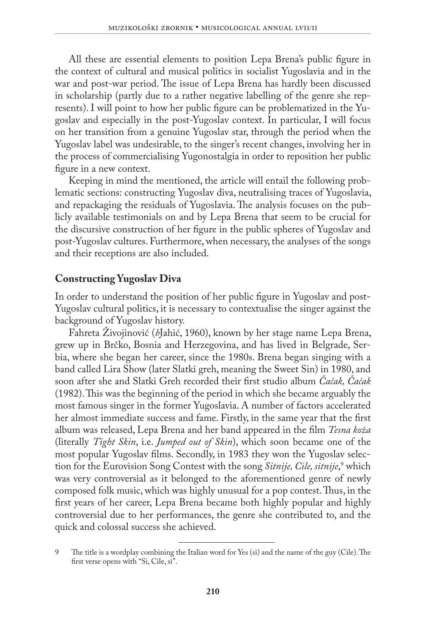All these are essential elements to position Lepa Brena's public figure in the context of cultural and musical politics in socialist Yugoslavia and in the war and post-war period. The issue of Lepa Brena has hardly been discussed in scholarship (partly due to a rather negative labelling of the genre she represents). I will point to how her public figure can be problematized in the Yugoslav and especially in the post-Yugoslav context. In particular, I will focus on her transition from a genuine Yugoslav star, through the period when the Yugoslav label was undesirable, to the singer's recent changes, involving her in the process of commercialising Yugonostalgia in order to reposition her public figure in a new context.

Keeping in mind the mentioned, the article will entail the following problematic sections: constructing Yugoslav diva, neutralising traces of Yugoslavia, and repackaging the residuals of Yugoslavia. The analysis focuses on the publicly available testimonials on and by Lepa Brena that seem to be crucial for the discursive construction of her figure in the public spheres of Yugoslav and post-Yugoslav cultures. Furthermore, when necessary, the analyses of the songs and their receptions are also included.

#### **Constructing Yugoslav Diva**

In order to understand the position of her public figure in Yugoslav and post-Yugoslav cultural politics, it is necessary to contextualise the singer against the background of Yugoslav history.

Fahreta Živojinović (*b*Jahić, 1960), known by her stage name Lepa Brena, grew up in Brčko, Bosnia and Herzegovina, and has lived in Belgrade, Serbia, where she began her career, since the 1980s. Brena began singing with a band called Lira Show (later Slatki greh, meaning the Sweet Sin) in 1980, and soon after she and Slatki Greh recorded their first studio album *Čačak, Čačak* (1982). This was the beginning of the period in which she became arguably the most famous singer in the former Yugoslavia. A number of factors accelerated her almost immediate success and fame. Firstly, in the same year that the first album was released, Lepa Brena and her band appeared in the film *Tesna koža* (literally *Tight Skin*, i.e. *Jumped out of Skin*), which soon became one of the most popular Yugoslav films. Secondly, in 1983 they won the Yugoslav selection for the Eurovision Song Contest with the song *Sitnije, Cile, sitnije*,<sup>9</sup> which was very controversial as it belonged to the aforementioned genre of newly composed folk music, which was highly unusual for a pop contest. Thus, in the first years of her career, Lepa Brena became both highly popular and highly controversial due to her performances, the genre she contributed to, and the quick and colossal success she achieved.

<sup>9</sup> The title is a wordplay combining the Italian word for Yes (si) and the name of the guy (Cile). The first verse opens with "Si, Cile, si".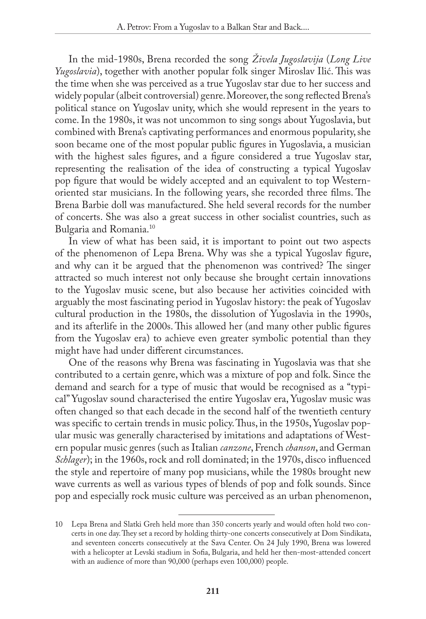In the mid-1980s, Brena recorded the song *Živela Jugoslavija* (*Long Live Yugoslavia*), together with another popular folk singer Miroslav Ilić. This was the time when she was perceived as a true Yugoslav star due to her success and widely popular (albeit controversial) genre. Moreover, the song reflected Brena's political stance on Yugoslav unity, which she would represent in the years to come. In the 1980s, it was not uncommon to sing songs about Yugoslavia, but combined with Brena's captivating performances and enormous popularity, she soon became one of the most popular public figures in Yugoslavia, a musician with the highest sales figures, and a figure considered a true Yugoslav star, representing the realisation of the idea of constructing a typical Yugoslav pop figure that would be widely accepted and an equivalent to top Westernoriented star musicians. In the following years, she recorded three films. The Brena Barbie doll was manufactured. She held several records for the number of concerts. She was also a great success in other socialist countries, such as Bulgaria and Romania.10

In view of what has been said, it is important to point out two aspects of the phenomenon of Lepa Brena. Why was she a typical Yugoslav figure, and why can it be argued that the phenomenon was contrived? The singer attracted so much interest not only because she brought certain innovations to the Yugoslav music scene, but also because her activities coincided with arguably the most fascinating period in Yugoslav history: the peak of Yugoslav cultural production in the 1980s, the dissolution of Yugoslavia in the 1990s, and its afterlife in the 2000s. This allowed her (and many other public figures from the Yugoslav era) to achieve even greater symbolic potential than they might have had under different circumstances.

One of the reasons why Brena was fascinating in Yugoslavia was that she contributed to a certain genre, which was a mixture of pop and folk. Since the demand and search for a type of music that would be recognised as a "typical" Yugoslav sound characterised the entire Yugoslav era, Yugoslav music was often changed so that each decade in the second half of the twentieth century was specific to certain trends in music policy. Thus, in the 1950s, Yugoslav popular music was generally characterised by imitations and adaptations of Western popular music genres (such as Italian *canzone*, French *chanson*, and German *Schlager*); in the 1960s, rock and roll dominated; in the 1970s, disco influenced the style and repertoire of many pop musicians, while the 1980s brought new wave currents as well as various types of blends of pop and folk sounds. Since pop and especially rock music culture was perceived as an urban phenomenon,

<sup>10</sup> Lepa Brena and Slatki Greh held more than 350 concerts yearly and would often hold two concerts in one day. They set a record by holding thirty-one concerts consecutively at Dom Sindikata, and seventeen concerts consecutively at the Sava Center. On 24 July 1990, Brena was lowered with a helicopter at Levski stadium in Sofia, Bulgaria, and held her then-most-attended concert with an audience of more than 90,000 (perhaps even 100,000) people.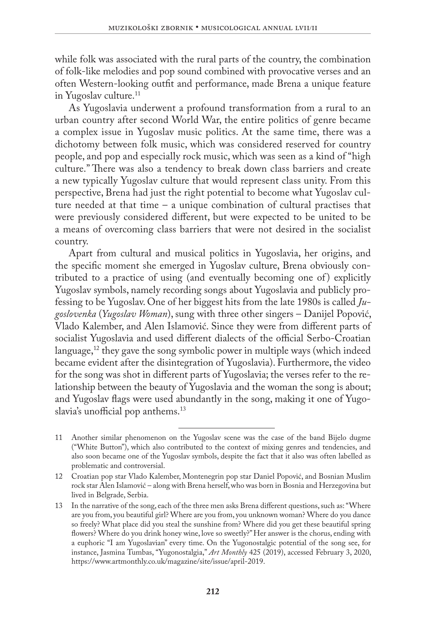while folk was associated with the rural parts of the country, the combination of folk-like melodies and pop sound combined with provocative verses and an often Western-looking outfit and performance, made Brena a unique feature in Yugoslav culture.<sup>11</sup>

As Yugoslavia underwent a profound transformation from a rural to an urban country after second World War, the entire politics of genre became a complex issue in Yugoslav music politics. At the same time, there was a dichotomy between folk music, which was considered reserved for country people, and pop and especially rock music, which was seen as a kind of "high culture." There was also a tendency to break down class barriers and create a new typically Yugoslav culture that would represent class unity. From this perspective, Brena had just the right potential to become what Yugoslav culture needed at that time – a unique combination of cultural practises that were previously considered different, but were expected to be united to be a means of overcoming class barriers that were not desired in the socialist country.

Apart from cultural and musical politics in Yugoslavia, her origins, and the specific moment she emerged in Yugoslav culture, Brena obviously contributed to a practice of using (and eventually becoming one of) explicitly Yugoslav symbols, namely recording songs about Yugoslavia and publicly professing to be Yugoslav. One of her biggest hits from the late 1980s is called *Jugoslovenka* (*Yugoslav Woman*), sung with three other singers – Danijel Popović, Vlado Kalember, and Alen Islamović. Since they were from different parts of socialist Yugoslavia and used different dialects of the official Serbo-Croatian language,<sup>12</sup> they gave the song symbolic power in multiple ways (which indeed became evident after the disintegration of Yugoslavia). Furthermore, the video for the song was shot in different parts of Yugoslavia; the verses refer to the relationship between the beauty of Yugoslavia and the woman the song is about; and Yugoslav flags were used abundantly in the song, making it one of Yugoslavia's unofficial pop anthems.<sup>13</sup>

<sup>11</sup> Another similar phenomenon on the Yugoslav scene was the case of the band Bijelo dugme ("White Button"), which also contributed to the context of mixing genres and tendencies, and also soon became one of the Yugoslav symbols, despite the fact that it also was often labelled as problematic and controversial.

<sup>12</sup> Croatian pop star Vlado Kalember, Montenegrin pop star Daniel Popović, and Bosnian Muslim rock star Alen Islamović – along with Brena herself, who was born in Bosnia and Herzegovina but lived in Belgrade, Serbia.

<sup>13</sup> In the narrative of the song, each of the three men asks Brena different questions, such as: "Where are you from, you beautiful girl? Where are you from, you unknown woman? Where do you dance so freely? What place did you steal the sunshine from? Where did you get these beautiful spring flowers? Where do you drink honey wine, love so sweetly?" Her answer is the chorus, ending with a euphoric "I am Yugoslavian" every time. On the Yugonostalgic potential of the song see, for instance, Jasmina Tumbas, "Yugonostalgia," *Art Monthly* 425 (2019), accessed February 3, 2020, [https://www.artmonthly.co.uk/magazine/site/issue/april-2019.](https://www.artmonthly.co.uk/magazine/site/issue/april-2019)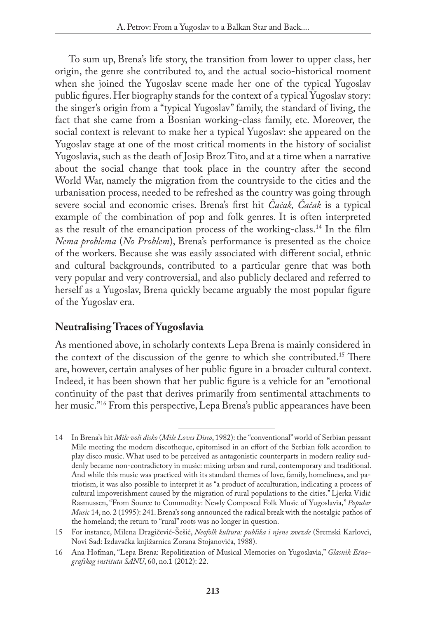To sum up, Brena's life story, the transition from lower to upper class, her origin, the genre she contributed to, and the actual socio-historical moment when she joined the Yugoslav scene made her one of the typical Yugoslav public figures. Her biography stands for the context of a typical Yugoslav story: the singer's origin from a "typical Yugoslav" family, the standard of living, the fact that she came from a Bosnian working-class family, etc. Moreover, the social context is relevant to make her a typical Yugoslav: she appeared on the Yugoslav stage at one of the most critical moments in the history of socialist Yugoslavia, such as the death of Josip Broz Tito, and at a time when a narrative about the social change that took place in the country after the second World War, namely the migration from the countryside to the cities and the urbanisation process, needed to be refreshed as the country was going through severe social and economic crises. Brena's first hit *Čačak, Čačak* is a typical example of the combination of pop and folk genres. It is often interpreted as the result of the emancipation process of the working-class.14 In the film *Nema problema* (*No Problem*), Brena's performance is presented as the choice of the workers. Because she was easily associated with different social, ethnic and cultural backgrounds, contributed to a particular genre that was both very popular and very controversial, and also publicly declared and referred to herself as a Yugoslav, Brena quickly became arguably the most popular figure of the Yugoslav era.

#### **Neutralising Traces of Yugoslavia**

As mentioned above, in scholarly contexts Lepa Brena is mainly considered in the context of the discussion of the genre to which she contributed.15 There are, however, certain analyses of her public figure in a broader cultural context. Indeed, it has been shown that her public figure is a vehicle for an "emotional continuity of the past that derives primarily from sentimental attachments to her music."16 From this perspective, Lepa Brena's public appearances have been

<sup>14</sup> In Brena's hit *Mile voli disko* (*Mile Loves Disco*, 1982): the "conventional" world of Serbian peasant Mile meeting the modern discotheque, epitomised in an effort of the Serbian folk accordion to play disco music. What used to be perceived as antagonistic counterparts in modern reality suddenly became non-contradictory in music: mixing urban and rural, contemporary and traditional. And while this music was practiced with its standard themes of love, family, homeliness, and patriotism, it was also possible to interpret it as "a product of acculturation, indicating a process of cultural impoverishment caused by the migration of rural populations to the cities." Ljerka Vidić Rasmussen, "From Source to Commodity: Newly Composed Folk Music of Yugoslavia," *Popular Music* 14, no. 2 (1995): 241. Brena's song announced the radical break with the nostalgic pathos of the homeland; the return to "rural" roots was no longer in question.

<sup>15</sup> For instance, Milena Dragičević-Šešić, *Neofolk kultura: publika i njene zvezde* (Sremski Karlovci, Novi Sad: Izdavačka knjižarnica Zorana Stojanovića, 1988).

<sup>16</sup> Ana Hofman, "Lepa Brena: Repolitization of Musical Memories on Yugoslavia," *Glasnik Etnografskog instituta SANU*, 60, no.1 (2012): 22.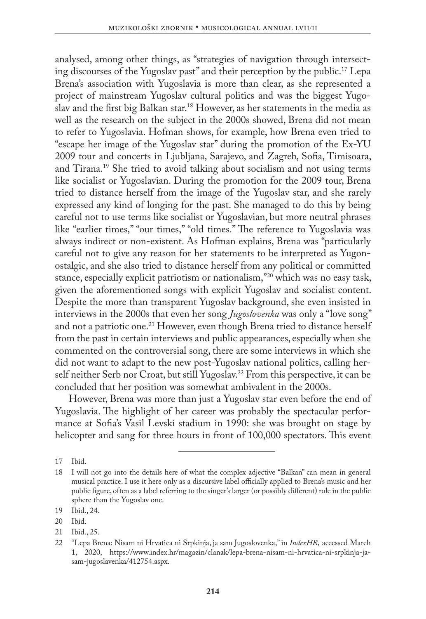analysed, among other things, as "strategies of navigation through intersecting discourses of the Yugoslav past" and their perception by the public.17 Lepa Brena's association with Yugoslavia is more than clear, as she represented a project of mainstream Yugoslav cultural politics and was the biggest Yugoslav and the first big Balkan star.18 However, as her statements in the media as well as the research on the subject in the 2000s showed, Brena did not mean to refer to Yugoslavia. Hofman shows, for example, how Brena even tried to "escape her image of the Yugoslav star" during the promotion of the Ex-YU 2009 tour and concerts in Ljubljana, Sarajevo, and Zagreb, Sofia, Timisoara, and Tirana.19 She tried to avoid talking about socialism and not using terms like socialist or Yugoslavian. During the promotion for the 2009 tour, Brena tried to distance herself from the image of the Yugoslav star, and she rarely expressed any kind of longing for the past. She managed to do this by being careful not to use terms like socialist or Yugoslavian, but more neutral phrases like "earlier times," "our times," "old times." The reference to Yugoslavia was always indirect or non-existent. As Hofman explains, Brena was "particularly careful not to give any reason for her statements to be interpreted as Yugonostalgic, and she also tried to distance herself from any political or committed stance, especially explicit patriotism or nationalism,"20 which was no easy task, given the aforementioned songs with explicit Yugoslav and socialist content. Despite the more than transparent Yugoslav background, she even insisted in interviews in the 2000s that even her song *Jugoslovenka* was only a "love song" and not a patriotic one.<sup>21</sup> However, even though Brena tried to distance herself from the past in certain interviews and public appearances, especially when she commented on the controversial song, there are some interviews in which she did not want to adapt to the new post-Yugoslav national politics, calling herself neither Serb nor Croat, but still Yugoslav.<sup>22</sup> From this perspective, it can be concluded that her position was somewhat ambivalent in the 2000s.

However, Brena was more than just a Yugoslav star even before the end of Yugoslavia. The highlight of her career was probably the spectacular performance at Sofia's Vasil Levski stadium in 1990: she was brought on stage by helicopter and sang for three hours in front of 100,000 spectators. This event

<sup>17</sup> Ibid.

<sup>18</sup> I will not go into the details here of what the complex adjective "Balkan" can mean in general musical practice. I use it here only as a discursive label officially applied to Brena's music and her public figure, often as a label referring to the singer's larger (or possibly different) role in the public sphere than the Yugoslav one.

<sup>19</sup> Ibid., 24.

<sup>20</sup> Ibid.

<sup>21</sup> Ibid., 25.

<sup>22</sup> "Lepa Brena: Nisam ni Hrvatica ni Srpkinja, ja sam Jugoslovenka," in *IndexHR,* accessed March 1, 2020, [https://www.index.hr/magazin/clanak/lepa-brena-nisam-ni-hrvatica-ni-srpkinja-ja](https://www.index.hr/magazin/clanak/lepa-brena-nisam-ni-hrvatica-ni-srpkinja-ja-sam-jugoslavenka/412754.aspx)[sam-jugoslavenka/412754.aspx.](https://www.index.hr/magazin/clanak/lepa-brena-nisam-ni-hrvatica-ni-srpkinja-ja-sam-jugoslavenka/412754.aspx)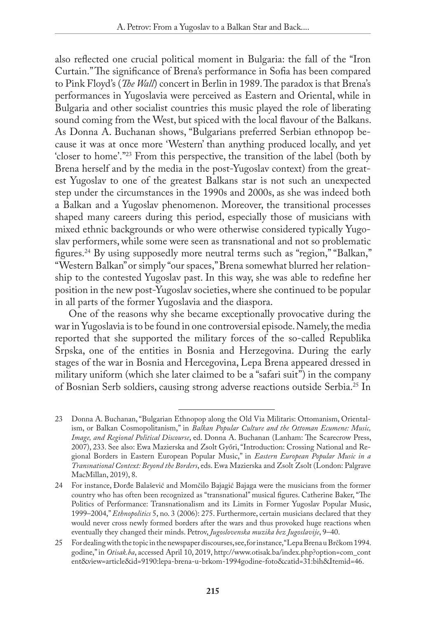also reflected one crucial political moment in Bulgaria: the fall of the "Iron Curtain." The significance of Brena's performance in Sofia has been compared to Pink Floyd's (*The Wall*) concert in Berlin in 1989. The paradox is that Brena's performances in Yugoslavia were perceived as Eastern and Oriental, while in Bulgaria and other socialist countries this music played the role of liberating sound coming from the West, but spiced with the local flavour of the Balkans. As Donna A. Buchanan shows, "Bulgarians preferred Serbian ethnopop because it was at once more 'Western' than anything produced locally, and yet 'closer to home'."23 From this perspective, the transition of the label (both by Brena herself and by the media in the post-Yugoslav context) from the greatest Yugoslav to one of the greatest Balkans star is not such an unexpected step under the circumstances in the 1990s and 2000s, as she was indeed both a Balkan and a Yugoslav phenomenon. Moreover, the transitional processes shaped many careers during this period, especially those of musicians with mixed ethnic backgrounds or who were otherwise considered typically Yugoslav performers, while some were seen as transnational and not so problematic figures.24 By using supposedly more neutral terms such as "region," "Balkan," "Western Balkan" or simply "our spaces," Brena somewhat blurred her relationship to the contested Yugoslav past. In this way, she was able to redefine her position in the new post-Yugoslav societies, where she continued to be popular in all parts of the former Yugoslavia and the diaspora.

One of the reasons why she became exceptionally provocative during the war in Yugoslavia is to be found in one controversial episode. Namely, the media reported that she supported the military forces of the so-called Republika Srpska, one of the entities in Bosnia and Herzegovina. During the early stages of the war in Bosnia and Hercegovina, Lepa Brena appeared dressed in military uniform (which she later claimed to be a "safari suit") in the company of Bosnian Serb soldiers, causing strong adverse reactions outside Serbia.25 In

<sup>23</sup> Donna A. Buchanan, "Bulgarian Ethnopop along the Old Via Militaris: Ottomanism, Orientalism, or Balkan Cosmopolitanism," in *Balkan Popular Culture and the Ottoman Ecumene: Music, Image, and Regional Political Discourse*, ed. Donna A. Buchanan (Lanham: The Scarecrow Press, 2007), 233. See also: Ewa Mazierska and Zsolt Győri, "Introduction: Crossing National and Regional Borders in Eastern European Popular Music," in *Eastern European Popular Music in a Transnational Context: Beyond the Borders*, eds. Ewa Mazierska and Zsolt Zsolt (London: Palgrave MacMillan, 2019), 8.

<sup>24</sup> For instance, Đorđe Balašević and Momčilo Bajagić Bajaga were the musicians from the former country who has often been recognized as "transnational" musical figures. Catherine Baker, "The Politics of Performance: Transnationalism and its Limits in Former Yugoslav Popular Music, 1999–2004," *Ethnopolitics* 5, no. 3 (2006): 275. Furthermore, certain musicians declared that they would never cross newly formed borders after the wars and thus provoked huge reactions when eventually they changed their minds. Petrov, *Jugoslovenska muzika bez Jugoslavije*, 9–40.

<sup>25</sup> For dealing with the topic in the newspaper discourses, see, for instance, "Lepa Brena u Brčkom 1994. godine," in *Otisak.ba*, accessed April 10, 2019, [http://www.otisak.ba/index.php?option=com\\_cont](http://www.otisak.ba/index.php?option=com_content&view=article&id=9190:lepa-brena-u-brkom-1994godine-foto&catid=31:bih&Itemid=46) [ent&view=article&id=9190:lepa-brena-u-brkom-1994godine-foto&catid=31:bih&Itemid=46.](http://www.otisak.ba/index.php?option=com_content&view=article&id=9190:lepa-brena-u-brkom-1994godine-foto&catid=31:bih&Itemid=46)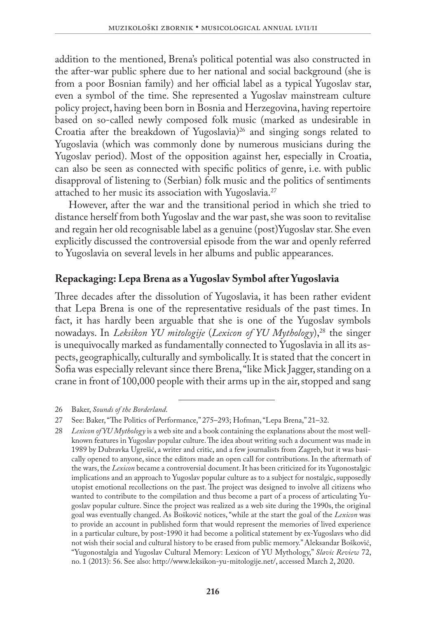addition to the mentioned, Brena's political potential was also constructed in the after-war public sphere due to her national and social background (she is from a poor Bosnian family) and her official label as a typical Yugoslav star, even a symbol of the time. She represented a Yugoslav mainstream culture policy project, having been born in Bosnia and Herzegovina, having repertoire based on so-called newly composed folk music (marked as undesirable in Croatia after the breakdown of Yugoslavia)<sup>26</sup> and singing songs related to Yugoslavia (which was commonly done by numerous musicians during the Yugoslav period). Most of the opposition against her, especially in Croatia, can also be seen as connected with specific politics of genre, i.e. with public disapproval of listening to (Serbian) folk music and the politics of sentiments attached to her music its association with Yugoslavia.<sup>27</sup>

However, after the war and the transitional period in which she tried to distance herself from both Yugoslav and the war past, she was soon to revitalise and regain her old recognisable label as a genuine (post)Yugoslav star. She even explicitly discussed the controversial episode from the war and openly referred to Yugoslavia on several levels in her albums and public appearances.

#### **Repackaging: Lepa Brena as a Yugoslav Symbol after Yugoslavia**

Three decades after the dissolution of Yugoslavia, it has been rather evident that Lepa Brena is one of the representative residuals of the past times. In fact, it has hardly been arguable that she is one of the Yugoslav symbols nowadays. In *Leksikon YU mitologije (Lexicon of YU Mythology*),<sup>28</sup> the singer is unequivocally marked as fundamentally connected to Yugoslavia in all its aspects, geographically, culturally and symbolically. It is stated that the concert in Sofia was especially relevant since there Brena, "like Mick Jagger, standing on a crane in front of 100,000 people with their arms up in the air, stopped and sang

26 Baker, *Sounds of the Borderland*.

<sup>27</sup> See: Baker, "The Politics of Performance," 275–293; Hofman, "Lepa Brena," 21–32.

<sup>28</sup> *Lexicon of YU Mythology* is a web site and a book containing the explanations about the most wellknown features in Yugoslav popular culture. The idea about writing such a document was made in 1989 by Dubravka Ugrešić, a writer and critic, and a few journalists from Zagreb, but it was basically opened to anyone, since the editors made an open call for contributions. In the aftermath of the wars, the *Lexicon* became a controversial document. It has been criticized for its Yugonostalgic implications and an approach to Yugoslav popular culture as to a subject for nostalgic, supposedly utopist emotional recollections on the past. The project was designed to involve all citizens who wanted to contribute to the compilation and thus become a part of a process of articulating Yugoslav popular culture. Since the project was realized as a web site during the 1990s, the original goal was eventually changed. As Bošković notices, "while at the start the goal of the *Lexicon* was to provide an account in published form that would represent the memories of lived experience in a particular culture, by post-1990 it had become a political statement by ex-Yugoslavs who did not wish their social and cultural history to be erased from public memory." Aleksandar Bošković, "Yugonostalgia and Yugoslav Cultural Memory: Lexicon of YU Mythology," *Slavic Review* 72, no. 1 (2013): 56. See also: [http://www.leksikon-yu-mitologije.net/,](http://www.leksikon-yu-mitologije.net/) accessed March 2, 2020.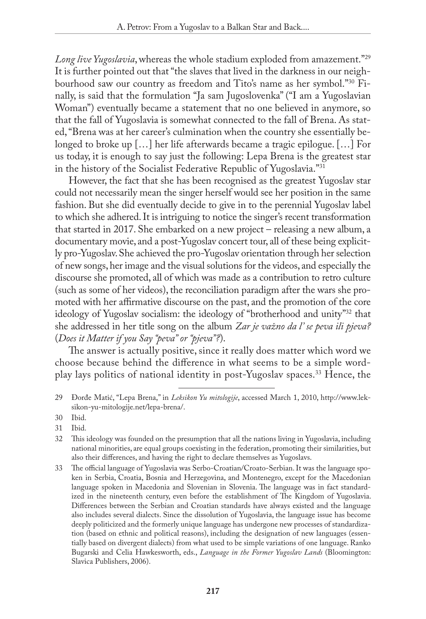*Long live Yugoslavia*, whereas the whole stadium exploded from amazement."29 It is further pointed out that "the slaves that lived in the darkness in our neighbourhood saw our country as freedom and Tito's name as her symbol."30 Finally, is said that the formulation "Ja sam Jugoslovenka" ("I am a Yugoslavian Woman") eventually became a statement that no one believed in anymore, so that the fall of Yugoslavia is somewhat connected to the fall of Brena. As stated, "Brena was at her career's culmination when the country she essentially belonged to broke up […] her life afterwards became a tragic epilogue. […] For us today, it is enough to say just the following: Lepa Brena is the greatest star in the history of the Socialist Federative Republic of Yugoslavia."31

However, the fact that she has been recognised as the greatest Yugoslav star could not necessarily mean the singer herself would see her position in the same fashion. But she did eventually decide to give in to the perennial Yugoslav label to which she adhered. It is intriguing to notice the singer's recent transformation that started in 2017. She embarked on a new project – releasing a new album, a documentary movie, and a post-Yugoslav concert tour, all of these being explicitly pro-Yugoslav. She achieved the pro-Yugoslav orientation through her selection of new songs, her image and the visual solutions for the videos, and especially the discourse she promoted, all of which was made as a contribution to retro culture (such as some of her videos), the reconciliation paradigm after the wars she promoted with her affirmative discourse on the past, and the promotion of the core ideology of Yugoslav socialism: the ideology of "brotherhood and unity"32 that she addressed in her title song on the album *Zar je važno da l' se peva ili pjeva?*  (*Does it Matter if you Say "peva" or "pjeva"?*).

The answer is actually positive, since it really does matter which word we choose because behind the difference in what seems to be a simple wordplay lays politics of national identity in post-Yugoslav spaces.33 Hence, the

- 30 Ibid.
- 31 Ibid.

<sup>29</sup> Đorđe Matić, "Lepa Brena," in *Leksikon Yu mitologije*, accessed March 1, 2010, [http://www.lek](http://www.leksikon-yu-mitologije.net/lepa-brena/)[sikon-yu-mitologije.net/lepa-brena/](http://www.leksikon-yu-mitologije.net/lepa-brena/).

<sup>32</sup> This ideology was founded on the presumption that all the nations living in Yugoslavia, including national minorities, are equal groups coexisting in the federation, promoting their similarities, but also their differences, and having the right to declare themselves as Yugoslavs.

<sup>33</sup> The official language of Yugoslavia was Serbo-Croatian/Croato-Serbian. It was the language spoken in Serbia, Croatia, Bosnia and Herzegovina, and Montenegro, except for the Macedonian language spoken in Macedonia and Slovenian in Slovenia. The language was in fact standardized in the nineteenth century, even before the establishment of The Kingdom of Yugoslavia. Differences between the Serbian and Croatian standards have always existed and the language also includes several dialects. Since the dissolution of Yugoslavia, the language issue has become deeply politicized and the formerly unique language has undergone new processes of standardization (based on ethnic and political reasons), including the designation of new languages (essentially based on divergent dialects) from what used to be simple variations of one language. Ranko Bugarski and Celia Hawkesworth, eds., *Language in the Former Yugoslav Lands* (Bloomington: Slavica Publishers, 2006).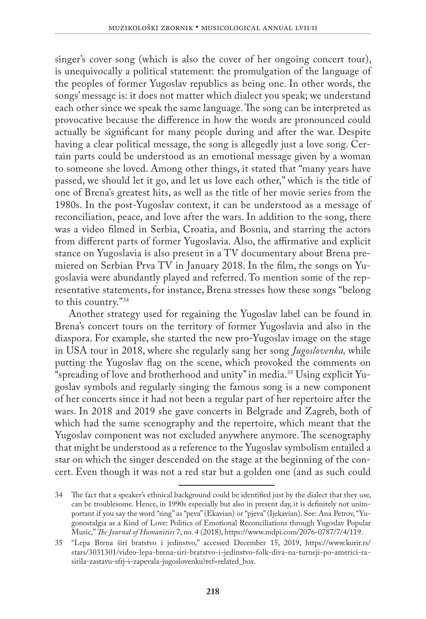singer's cover song (which is also the cover of her ongoing concert tour), is unequivocally a political statement: the promulgation of the language of the peoples of former Yugoslav republics as being one. In other words, the songs' message is: it does not matter which dialect you speak; we understand each other since we speak the same language. The song can be interpreted as provocative because the difference in how the words are pronounced could actually be significant for many people during and after the war. Despite having a clear political message, the song is allegedly just a love song. Certain parts could be understood as an emotional message given by a woman to someone she loved. Among other things, it stated that "many years have passed, we should let it go, and let us love each other," which is the title of one of Brena's greatest hits, as well as the title of her movie series from the 1980s. In the post-Yugoslav context, it can be understood as a message of reconciliation, peace, and love after the wars. In addition to the song, there was a video filmed in Serbia, Croatia, and Bosnia, and starring the actors from different parts of former Yugoslavia. Also, the affirmative and explicit stance on Yugoslavia is also present in a TV documentary about Brena premiered on Serbian Prva TV in January 2018. In the film, the songs on Yugoslavia were abundantly played and referred. To mention some of the representative statements, for instance, Brena stresses how these songs "belong to this country."34

Another strategy used for regaining the Yugoslav label can be found in Brena's concert tours on the territory of former Yugoslavia and also in the diaspora. For example, she started the new pro-Yugoslav image on the stage in USA tour in 2018, where she regularly sang her song *Jugoslovenka,* while putting the Yugoslav flag on the scene, which provoked the comments on "spreading of love and brotherhood and unity" in media.35 Using explicit Yugoslav symbols and regularly singing the famous song is a new component of her concerts since it had not been a regular part of her repertoire after the wars. In 2018 and 2019 she gave concerts in Belgrade and Zagreb, both of which had the same scenography and the repertoire, which meant that the Yugoslav component was not excluded anywhere anymore. The scenography that might be understood as a reference to the Yugoslav symbolism entailed a star on which the singer descended on the stage at the beginning of the concert. Even though it was not a red star but a golden one (and as such could

<sup>34</sup> The fact that a speaker's ethnical background could be identified just by the dialect that they use, can be troublesome. Hence, in 1990s especially but also in present day, it is definitely not unimportant if you say the word "sing" as "peva" (Ekavian) or "pjeva" (Ijekavian). See: Ana Petrov, "Yugonostalgia as a Kind of Love: Politics of Emotional Reconciliations through Yugoslav Popular Music," *The Journal of Humanities* 7, no. 4 (2018), [https://www.mdpi.com/2076-0787/7/4/119.](https://www.mdpi.com/2076-0787/7/4/119)

<sup>35</sup> "Lepa Brena širi bratstvo i jedinstvo," accessed December 15, 2019, [https://www.kurir.rs/](https://www.kurir.rs/stars/3031301/video-lepa-brena-siri-bratstvo-i-jedinstvo-folk-diva-na-turneji-po-americi-rasirila-zastavu-sfrj-i-zapevala-jugoslovenku?ref=related_box) [stars/3031301/video-lepa-brena-siri-bratstvo-i-jedinstvo-folk-diva-na-turneji-po-americi-ra](https://www.kurir.rs/stars/3031301/video-lepa-brena-siri-bratstvo-i-jedinstvo-folk-diva-na-turneji-po-americi-rasirila-zastavu-sfrj-i-zapevala-jugoslovenku?ref=related_box)[sirila-zastavu-sfrj-i-zapevala-jugoslovenku?ref=related\\_box](https://www.kurir.rs/stars/3031301/video-lepa-brena-siri-bratstvo-i-jedinstvo-folk-diva-na-turneji-po-americi-rasirila-zastavu-sfrj-i-zapevala-jugoslovenku?ref=related_box).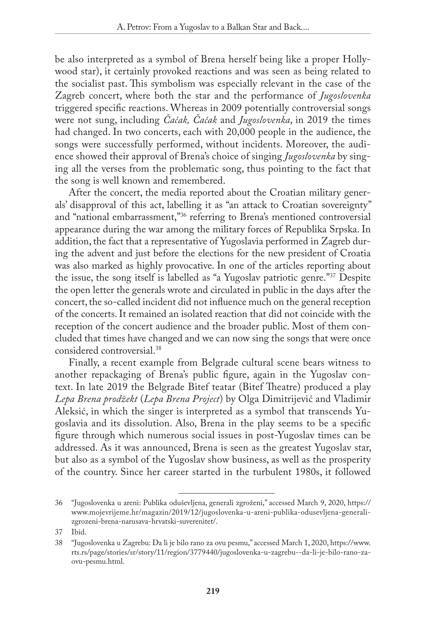be also interpreted as a symbol of Brena herself being like a proper Hollywood star), it certainly provoked reactions and was seen as being related to the socialist past. This symbolism was especially relevant in the case of the Zagreb concert, where both the star and the performance of *Jugoslovenka*  triggered specific reactions. Whereas in 2009 potentially controversial songs were not sung, including *Čačak, Čačak* and *Jugoslovenka*, in 2019 the times had changed. In two concerts, each with 20,000 people in the audience, the songs were successfully performed, without incidents. Moreover, the audience showed their approval of Brena's choice of singing *Jugoslovenka* by singing all the verses from the problematic song, thus pointing to the fact that the song is well known and remembered.

After the concert, the media reported about the Croatian military generals' disapproval of this act, labelling it as "an attack to Croatian sovereignty" and "national embarrassment,"36 referring to Brena's mentioned controversial appearance during the war among the military forces of Republika Srpska. In addition, the fact that a representative of Yugoslavia performed in Zagreb during the advent and just before the elections for the new president of Croatia was also marked as highly provocative. In one of the articles reporting about the issue, the song itself is labelled as "a Yugoslav patriotic genre."37 Despite the open letter the generals wrote and circulated in public in the days after the concert, the so-called incident did not influence much on the general reception of the concerts. It remained an isolated reaction that did not coincide with the reception of the concert audience and the broader public. Most of them concluded that times have changed and we can now sing the songs that were once considered controversial.38

Finally, a recent example from Belgrade cultural scene bears witness to another repackaging of Brena's public figure, again in the Yugoslav context. In late 2019 the Belgrade Bitef teatar (Bitef Theatre) produced a play *Lepa Brena prodžekt* (*Lepa Brena Project*) by Olga Dimitrijević and Vladimir Aleksić, in which the singer is interpreted as a symbol that transcends Yugoslavia and its dissolution. Also, Brena in the play seems to be a specific figure through which numerous social issues in post-Yugoslav times can be addressed. As it was announced, Brena is seen as the greatest Yugoslav star, but also as a symbol of the Yugoslav show business, as well as the prosperity of the country. Since her career started in the turbulent 1980s, it followed

<sup>36</sup> "Jugoslovenka u areni: Publika oduševljena, generali zgroženi," accessed March 9, 2020, [https://](https://www.mojevrijeme.hr/magazin/2019/12/jugoslovenka-u-areni-publika-odusevljena-generali-zgrozeni-brena-narusava-hrvatski-suverenitet/) [www.mojevrijeme.hr/magazin/2019/12/jugoslovenka-u-areni-publika-odusevljena-generali](https://www.mojevrijeme.hr/magazin/2019/12/jugoslovenka-u-areni-publika-odusevljena-generali-zgrozeni-brena-narusava-hrvatski-suverenitet/)[zgrozeni-brena-narusava-hrvatski-suverenitet/.](https://www.mojevrijeme.hr/magazin/2019/12/jugoslovenka-u-areni-publika-odusevljena-generali-zgrozeni-brena-narusava-hrvatski-suverenitet/)

<sup>37</sup> Ibid.

<sup>38</sup> "Jugoslovenka u Zagrebu: Da li je bilo rano za ovu pesmu," accessed March 1, 2020, [https://www.](https://www.rts.rs/page/stories/sr/story/11/region/3779440/jugoslovenka-u-zagrebu--da-li-je-bilo-rano-za-ovu-pesmu.html) [rts.rs/page/stories/sr/story/11/region/3779440/jugoslovenka-u-zagrebu--da-li-je-bilo-rano-za](https://www.rts.rs/page/stories/sr/story/11/region/3779440/jugoslovenka-u-zagrebu--da-li-je-bilo-rano-za-ovu-pesmu.html)[ovu-pesmu.html.](https://www.rts.rs/page/stories/sr/story/11/region/3779440/jugoslovenka-u-zagrebu--da-li-je-bilo-rano-za-ovu-pesmu.html)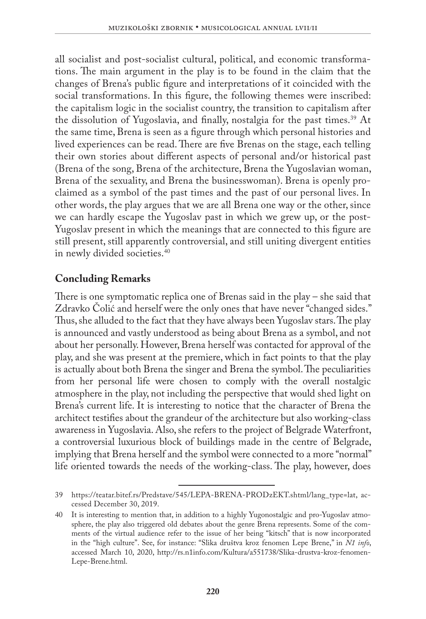all socialist and post-socialist cultural, political, and economic transformations. The main argument in the play is to be found in the claim that the changes of Brena's public figure and interpretations of it coincided with the social transformations. In this figure, the following themes were inscribed: the capitalism logic in the socialist country, the transition to capitalism after the dissolution of Yugoslavia, and finally, nostalgia for the past times.<sup>39</sup> At the same time, Brena is seen as a figure through which personal histories and lived experiences can be read. There are five Brenas on the stage, each telling their own stories about different aspects of personal and/or historical past (Brena of the song, Brena of the architecture, Brena the Yugoslavian woman, Brena of the sexuality, and Brena the businesswoman). Brena is openly proclaimed as a symbol of the past times and the past of our personal lives. In other words, the play argues that we are all Brena one way or the other, since we can hardly escape the Yugoslav past in which we grew up, or the post-Yugoslav present in which the meanings that are connected to this figure are still present, still apparently controversial, and still uniting divergent entities in newly divided societies.40

### **Concluding Remarks**

There is one symptomatic replica one of Brenas said in the play – she said that Zdravko Čolić and herself were the only ones that have never "changed sides." Thus, she alluded to the fact that they have always been Yugoslav stars. The play is announced and vastly understood as being about Brena as a symbol, and not about her personally. However, Brena herself was contacted for approval of the play, and she was present at the premiere, which in fact points to that the play is actually about both Brena the singer and Brena the symbol. The peculiarities from her personal life were chosen to comply with the overall nostalgic atmosphere in the play, not including the perspective that would shed light on Brena's current life. It is interesting to notice that the character of Brena the architect testifies about the grandeur of the architecture but also working-class awareness in Yugoslavia. Also, she refers to the project of Belgrade Waterfront, a controversial luxurious block of buildings made in the centre of Belgrade, implying that Brena herself and the symbol were connected to a more "normal" life oriented towards the needs of the working-class. The play, however, does

<sup>39</sup> [https://teatar.bitef.rs/Predstave/545/LEPA-BRENA-PRODzEKT.shtml/lang\\_type=lat](https://teatar.bitef.rs/Predstave/545/LEPA-BRENA-PRODzEKT.shtml/lang_type=lat), accessed December 30, 2019.

<sup>40</sup> It is interesting to mention that, in addition to a highly Yugonostalgic and pro-Yugoslav atmosphere, the play also triggered old debates about the genre Brena represents. Some of the comments of the virtual audience refer to the issue of her being "kitsch" that is now incorporated in the "high culture". See, for instance: "Slika društva kroz fenomen Lepe Brene," in *N1 info*, accessed March 10, 2020, [http://rs.n1info.com/Kultura/a551738/Slika-drustva-kroz-fenomen-](http://rs.n1info.com/Kultura/a551738/Slika-drustva-kroz-fenomen-Lepe-Brene.html)[Lepe-Brene.html.](http://rs.n1info.com/Kultura/a551738/Slika-drustva-kroz-fenomen-Lepe-Brene.html)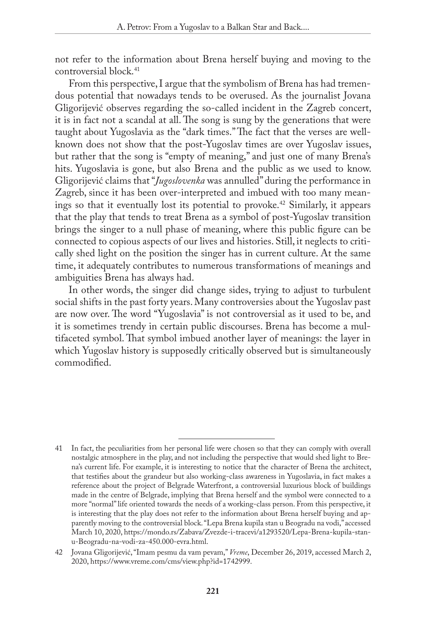not refer to the information about Brena herself buying and moving to the controversial block.<sup>41</sup>

From this perspective, I argue that the symbolism of Brena has had tremendous potential that nowadays tends to be overused. As the journalist Jovana Gligorijević observes regarding the so-called incident in the Zagreb concert, it is in fact not a scandal at all. The song is sung by the generations that were taught about Yugoslavia as the "dark times." The fact that the verses are wellknown does not show that the post-Yugoslav times are over Yugoslav issues, but rather that the song is "empty of meaning," and just one of many Brena's hits. Yugoslavia is gone, but also Brena and the public as we used to know. Gligorijević claims that "*Jugoslovenka* was annulled" during the performance in Zagreb, since it has been over-interpreted and imbued with too many meanings so that it eventually lost its potential to provoke.42 Similarly, it appears that the play that tends to treat Brena as a symbol of post-Yugoslav transition brings the singer to a null phase of meaning, where this public figure can be connected to copious aspects of our lives and histories. Still, it neglects to critically shed light on the position the singer has in current culture. At the same time, it adequately contributes to numerous transformations of meanings and ambiguities Brena has always had.

In other words, the singer did change sides, trying to adjust to turbulent social shifts in the past forty years. Many controversies about the Yugoslav past are now over. The word "Yugoslavia" is not controversial as it used to be, and it is sometimes trendy in certain public discourses. Brena has become a multifaceted symbol. That symbol imbued another layer of meanings: the layer in which Yugoslav history is supposedly critically observed but is simultaneously commodified.

<sup>41</sup> In fact, the peculiarities from her personal life were chosen so that they can comply with overall nostalgic atmosphere in the play, and not including the perspective that would shed light to Brena's current life. For example, it is interesting to notice that the character of Brena the architect, that testifies about the grandeur but also working-class awareness in Yugoslavia, in fact makes a reference about the project of Belgrade Waterfront, a controversial luxurious block of buildings made in the centre of Belgrade, implying that Brena herself and the symbol were connected to a more "normal" life oriented towards the needs of a working-class person. From this perspective, it is interesting that the play does not refer to the information about Brena herself buying and apparently moving to the controversial block. "Lepa Brena kupila stan u Beogradu na vodi," accessed March 10, 2020, [https://mondo.rs/Zabava/Zvezde-i-tracevi/a1293520/Lepa-Brena-kupila-stan](https://mondo.rs/Zabava/Zvezde-i-tracevi/a1293520/Lepa-Brena-kupila-stan-u-Beogradu-na-vodi-za-450.000-evra.html)[u-Beogradu-na-vodi-za-450.000-evra.html.](https://mondo.rs/Zabava/Zvezde-i-tracevi/a1293520/Lepa-Brena-kupila-stan-u-Beogradu-na-vodi-za-450.000-evra.html)

<sup>42</sup> Jovana Gligorijević, "Imam pesmu da vam pevam," *Vreme*, December 26, 2019, accessed March 2, 2020,<https://www.vreme.com/cms/view.php?id=1742999>.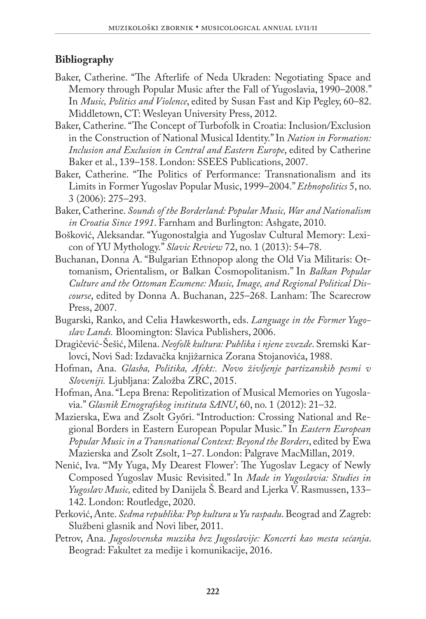## **Bibliography**

- Baker, Catherine. "The Afterlife of Neda Ukraden: Negotiating Space and Memory through Popular Music after the Fall of Yugoslavia, 1990–2008." In *Music, Politics and Violence*, edited by Susan Fast and Kip Pegley, 60–82. Middletown, CT: Wesleyan University Press, 2012.
- Baker, Catherine. "The Concept of Turbofolk in Croatia: Inclusion/Exclusion in the Construction of National Musical Identity." In *Nation in Formation: Inclusion and Exclusion in Central and Eastern Europe*, edited by Catherine Baker et al., 139–158. London: SSEES Publications, 2007.
- Baker, Catherine. "The Politics of Performance: Transnationalism and its Limits in Former Yugoslav Popular Music, 1999–2004." *Ethnopolitics* 5, no. 3 (2006): 275–293.
- Baker, Catherine. *Sounds of the Borderland: Popular Music, War and Nationalism in Croatia Since 1991*. Farnham and Burlington: Ashgate, 2010.
- Bošković, Aleksandar. "Yugonostalgia and Yugoslav Cultural Memory: Lexicon of YU Mythology." *Slavic Review* 72, no. 1 (2013): 54–78.
- Buchanan, Donna A. "Bulgarian Ethnopop along the Old Via Militaris: Ottomanism, Orientalism, or Balkan Cosmopolitanism." In *Balkan Popular Culture and the Ottoman Ecumene: Music, Image, and Regional Political Discourse*, edited by Donna A. Buchanan, 225–268. Lanham: The Scarecrow Press, 2007.
- Bugarski, Ranko, and Celia Hawkesworth, eds. *Language in the Former Yugoslav Lands.* Bloomington: Slavica Publishers, 2006.
- Dragičević-Šešić, Milena. *Neofolk kultura: Publika i njene zvezde*. Sremski Karlovci, Novi Sad: Izdavačka knjižarnica Zorana Stojanovića, 1988.
- Hofman, Ana. *Glasba, Politika, Afekt:. Novo življenje partizanskih pesmi v Sloveniji.* Ljubljana: Založba ZRC, 2015.
- Hofman, Ana. "Lepa Brena: Repolitization of Musical Memories on Yugoslavia." *Glasnik Etnografskog instituta SANU*, 60, no. 1 (2012): 21–32.
- Mazierska, Ewa and Zsolt Győri. "Introduction: Crossing National and Regional Borders in Eastern European Popular Music." In *Eastern European Popular Music in a Transnational Context: Beyond the Borders*, edited by Ewa Mazierska and Zsolt Zsolt, 1–27. London: Palgrave MacMillan, 2019.
- Nenić, Iva. "'My Yuga, My Dearest Flower': The Yugoslav Legacy of Newly Composed Yugoslav Music Revisited." In *Made in Yugoslavia: Studies in Yugoslav Music,* edited by Danijela Š. Beard and Ljerka V. Rasmussen, 133– 142. London: Routledge, 2020.
- Perković, Ante. *Sedma republika: Pop kultura u Yu raspadu*. Beograd and Zagreb: Službeni glasnik and Novi liber, 2011.
- Petrov, Ana. *Jugoslovenska muzika bez Jugoslavije: Koncerti kao mesta sećanja*. Beograd: Fakultet za medije i komunikacije, 2016.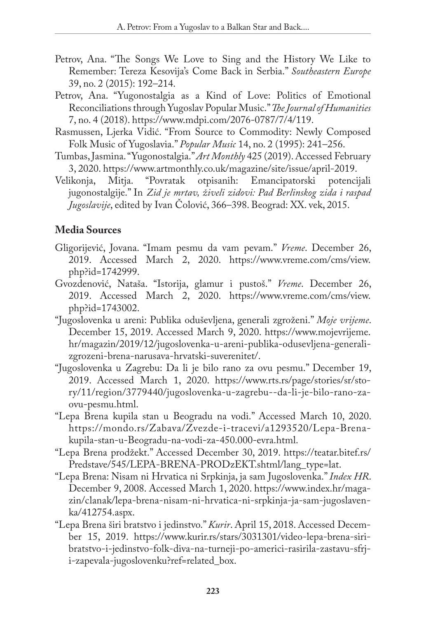- Petrov, Ana. "The Songs We Love to Sing and the History We Like to Remember: Tereza Kesovija's Come Back in Serbia." *Southeastern Europe* 39, no. 2 (2015): 192–214.
- Petrov, Ana. "Yugonostalgia as a Kind of Love: Politics of Emotional Reconciliations through Yugoslav Popular Music." *The Journal of Humanities*  7, no. 4 (2018).<https://www.mdpi.com/2076-0787/7/4/119>.
- Rasmussen, Ljerka Vidić. "From Source to Commodity: Newly Composed Folk Music of Yugoslavia." *Popular Music* 14, no. 2 (1995): 241–256.
- Tumbas, Jasmina. "Yugonostalgia." *Art Monthly* 425 (2019). Accessed February 3, 2020.<https://www.artmonthly.co.uk/magazine/site/issue/april-2019>.
- Velikonja, Mitja. "Povratak otpisanih: Emancipatorski potencijali jugonostalgije." In *Zid je mrtav, živeli zidovi: Pad Berlinskog zida i raspad Jugoslavije*, edited by Ivan Čolović, 366–398. Beograd: XX. vek, 2015.

## **Media Sources**

- Gligorijević, Jovana. "Imam pesmu da vam pevam." *Vreme*. December 26, 2019. Accessed March 2, 2020. [https://www.vreme.com/cms/view.](https://www.vreme.com/cms/view.php?id=1742999) [php?id=1742999](https://www.vreme.com/cms/view.php?id=1742999).
- Gvozdenović, Nataša. "Istorija, glamur i pustoš." *Vreme*. December 26, 2019. Accessed March 2, 2020. [https://www.vreme.com/cms/view.](https://www.vreme.com/cms/view.php?id=1743002) [php?id=1743002](https://www.vreme.com/cms/view.php?id=1743002).
- "Jugoslovenka u areni: Publika oduševljena, generali zgroženi." *Moje vrijeme*. December 15, 2019. Accessed March 9, 2020. [https://www.mojevrijeme.](https://www.mojevrijeme.hr/magazin/2019/12/jugoslovenka-u-areni-publika-odusevljena-generali-zgrozeni-brena-narusava-hrvatski-suverenitet/) [hr/magazin/2019/12/jugoslovenka-u-areni-publika-odusevljena-generali](https://www.mojevrijeme.hr/magazin/2019/12/jugoslovenka-u-areni-publika-odusevljena-generali-zgrozeni-brena-narusava-hrvatski-suverenitet/)[zgrozeni-brena-narusava-hrvatski-suverenitet/](https://www.mojevrijeme.hr/magazin/2019/12/jugoslovenka-u-areni-publika-odusevljena-generali-zgrozeni-brena-narusava-hrvatski-suverenitet/).
- "Jugoslovenka u Zagrebu: Da li je bilo rano za ovu pesmu." December 19, 2019. Accessed March 1, 2020. [https://www.rts.rs/page/stories/sr/sto](https://www.rts.rs/page/stories/sr/story/11/region/3779440/jugoslovenka-u-zagrebu--da-li-je-bilo-rano-za-ovu-pesmu.html)[ry/11/region/3779440/jugoslovenka-u-zagrebu--da-li-je-bilo-rano-za](https://www.rts.rs/page/stories/sr/story/11/region/3779440/jugoslovenka-u-zagrebu--da-li-je-bilo-rano-za-ovu-pesmu.html)[ovu-pesmu.html](https://www.rts.rs/page/stories/sr/story/11/region/3779440/jugoslovenka-u-zagrebu--da-li-je-bilo-rano-za-ovu-pesmu.html).
- "Lepa Brena kupila stan u Beogradu na vodi." Accessed March 10, 2020. [https://mondo.rs/Zabava/Zvezde-i-tracevi/a1293520/Lepa-Brena](https://mondo.rs/Zabava/Zvezde-i-tracevi/a1293520/Lepa-Brena-kupila-stan-u-Beogradu-na-vodi-za-450.000-evra.html)[kupila-stan-u-Beogradu-na-vodi-za-450.000-evra.html](https://mondo.rs/Zabava/Zvezde-i-tracevi/a1293520/Lepa-Brena-kupila-stan-u-Beogradu-na-vodi-za-450.000-evra.html).
- "Lepa Brena prodžekt." Accessed December 30, 2019. [https://teatar.bitef.rs/](https://teatar.bitef.rs/Predstave/545/LEPA-BRENA-PRODzEKT.shtml/lang_type=lat) [Predstave/545/LEPA-BRENA-PRODzEKT.shtml/lang\\_type=lat.](https://teatar.bitef.rs/Predstave/545/LEPA-BRENA-PRODzEKT.shtml/lang_type=lat)
- "Lepa Brena: Nisam ni Hrvatica ni Srpkinja, ja sam Jugoslovenka." *Index HR*. December 9, 2008. Accessed March 1, 2020. [https://www.index.hr/maga](https://www.index.hr/magazin/clanak/lepa-brena-nisam-ni-hrvatica-ni-srpkinja-ja-sam-jugoslavenka/412754.aspx)[zin/clanak/lepa-brena-nisam-ni-hrvatica-ni-srpkinja-ja-sam-jugoslaven](https://www.index.hr/magazin/clanak/lepa-brena-nisam-ni-hrvatica-ni-srpkinja-ja-sam-jugoslavenka/412754.aspx)[ka/412754.aspx.](https://www.index.hr/magazin/clanak/lepa-brena-nisam-ni-hrvatica-ni-srpkinja-ja-sam-jugoslavenka/412754.aspx)
- "Lepa Brena širi bratstvo i jedinstvo." *Kurir*. April 15, 2018. Accessed December 15, 2019. [https://www.kurir.rs/stars/3031301/video-lepa-brena-siri](https://www.kurir.rs/stars/3031301/video-lepa-brena-siri-bratstvo-i-jedinstvo-folk-diva-na-turneji-po-americi-rasirila-zastavu-sfrj-i-zapevala-jugoslovenku?ref=related_box)[bratstvo-i-jedinstvo-folk-diva-na-turneji-po-americi-rasirila-zastavu-sfrj](https://www.kurir.rs/stars/3031301/video-lepa-brena-siri-bratstvo-i-jedinstvo-folk-diva-na-turneji-po-americi-rasirila-zastavu-sfrj-i-zapevala-jugoslovenku?ref=related_box)[i-zapevala-jugoslovenku?ref=related\\_box](https://www.kurir.rs/stars/3031301/video-lepa-brena-siri-bratstvo-i-jedinstvo-folk-diva-na-turneji-po-americi-rasirila-zastavu-sfrj-i-zapevala-jugoslovenku?ref=related_box).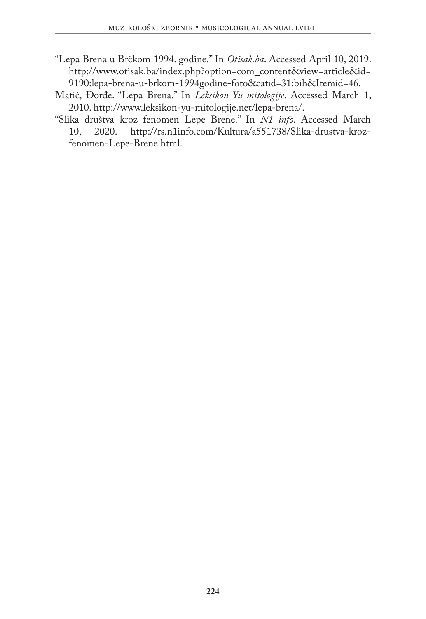- "Lepa Brena u Brčkom 1994. godine." In *Otisak.ba*. Accessed April 10, 2019. [http://www.otisak.ba/index.php?option=com\\_content&view=article&id=](http://www.otisak.ba/index.php?option=com_content&view=article&id=9190:lepa-brena-u-brkom-1994godine-foto&catid=31:bih&Itemid=46) [9190:lepa-brena-u-brkom-1994godine-foto&catid=31:bih&Itemid=46](http://www.otisak.ba/index.php?option=com_content&view=article&id=9190:lepa-brena-u-brkom-1994godine-foto&catid=31:bih&Itemid=46).
- Matić, Đorđe. "Lepa Brena." In *Leksikon Yu mitologije*. Accessed March 1, 2010. [http://www.leksikon-yu-mitologije.net/lepa-brena/.](http://www.leksikon-yu-mitologije.net/lepa-brena/)
- "Slika društva kroz fenomen Lepe Brene." In *N1 info*. Accessed March 10, 2020. [http://rs.n1info.com/Kultura/a551738/Slika-drustva-kroz](http://rs.n1info.com/Kultura/a551738/Slika-drustva-kroz-fenomen-Lepe-Brene.html)[fenomen-Lepe-Brene.html.](http://rs.n1info.com/Kultura/a551738/Slika-drustva-kroz-fenomen-Lepe-Brene.html)